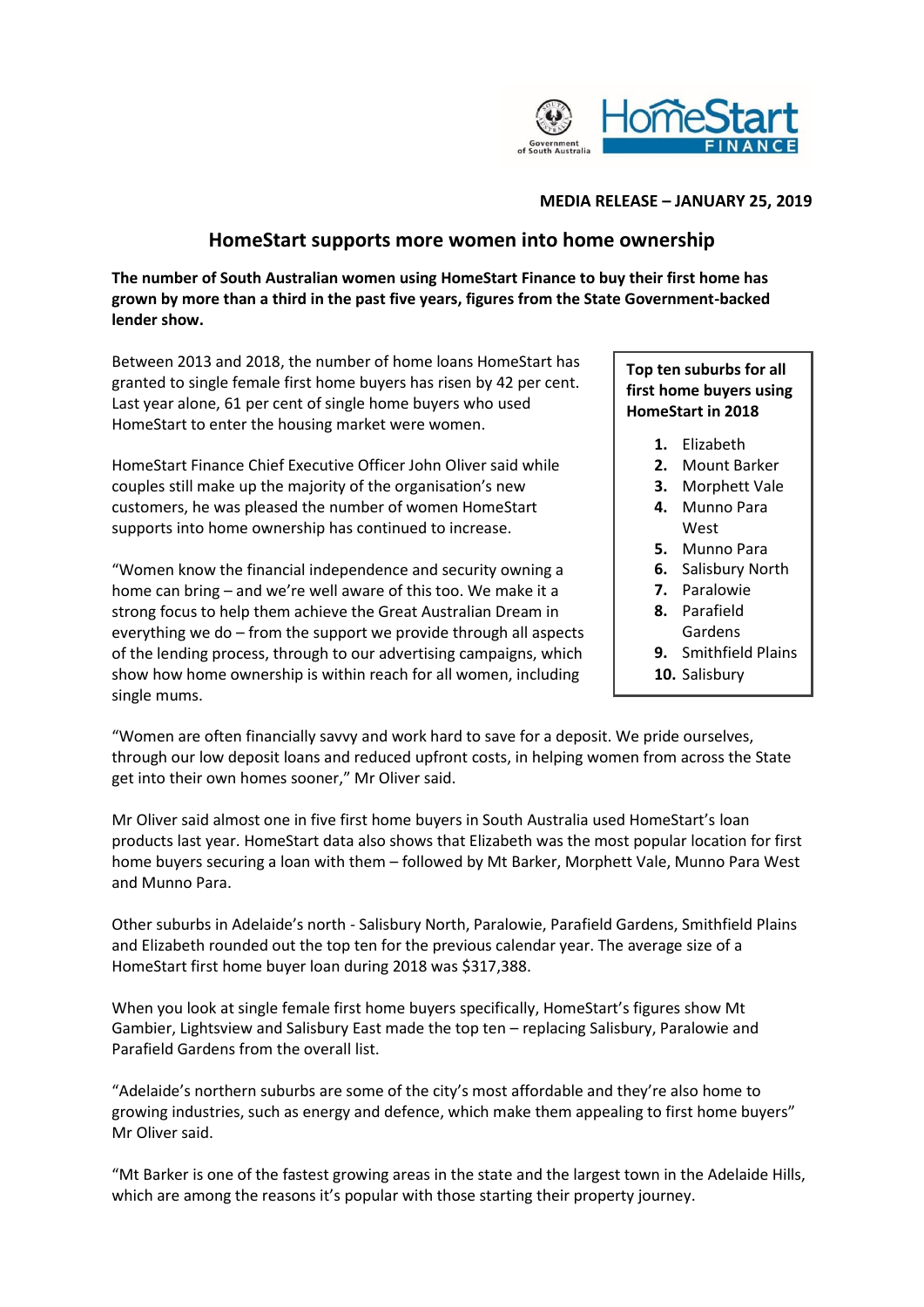

### **MEDIA RELEASE – JANUARY 25, 2019**

# **HomeStart supports more women into home ownership**

**The number of South Australian women using HomeStart Finance to buy their first home has grown by more than a third in the past five years, figures from the State Government-backed lender show.**

Between 2013 and 2018, the number of home loans HomeStart has granted to single female first home buyers has risen by 42 per cent. Last year alone, 61 per cent of single home buyers who used HomeStart to enter the housing market were women.

HomeStart Finance Chief Executive Officer John Oliver said while couples still make up the majority of the organisation's new customers, he was pleased the number of women HomeStart supports into home ownership has continued to increase.

"Women know the financial independence and security owning a home can bring – and we're well aware of this too. We make it a strong focus to help them achieve the Great Australian Dream in everything we do – from the support we provide through all aspects of the lending process, through to our advertising campaigns, which show how home ownership is within reach for all women, including single mums.

## **Top ten suburbs for all first home buyers using HomeStart in 2018**

- **1.** Elizabeth
- **2.** Mount Barker
- **3.** Morphett Vale
- **4.** Munno Para West
- **5.** Munno Para
- **6.** Salisbury North
- **7.** Paralowie
- **8.** Parafield Gardens
- **9.** Smithfield Plains
- **10.** Salisbury

"Women are often financially savvy and work hard to save for a deposit. We pride ourselves, through our low deposit loans and reduced upfront costs, in helping women from across the State get into their own homes sooner," Mr Oliver said.

Mr Oliver said almost one in five first home buyers in South Australia used HomeStart's loan products last year. HomeStart data also shows that Elizabeth was the most popular location for first home buyers securing a loan with them – followed by Mt Barker, Morphett Vale, Munno Para West and Munno Para.

Other suburbs in Adelaide's north - Salisbury North, Paralowie, Parafield Gardens, Smithfield Plains and Elizabeth rounded out the top ten for the previous calendar year. The average size of a HomeStart first home buyer loan during 2018 was \$317,388.

When you look at single female first home buyers specifically, HomeStart's figures show Mt Gambier, Lightsview and Salisbury East made the top ten – replacing Salisbury, Paralowie and Parafield Gardens from the overall list.

"Adelaide's northern suburbs are some of the city's most affordable and they're also home to growing industries, such as energy and defence, which make them appealing to first home buyers" Mr Oliver said.

"Mt Barker is one of the fastest growing areas in the state and the largest town in the Adelaide Hills, which are among the reasons it's popular with those starting their property journey.